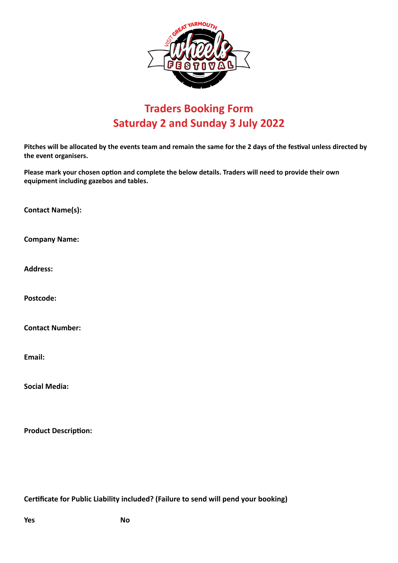

# **Traders Booking Form Saturday 2 and Sunday 3 July 2022**

**Pitches will be allocated by the events team and remain the same for the 2 days of the festival unless directed by the event organisers.**

**Please mark your chosen option and complete the below details. Traders will need to provide their own equipment including gazebos and tables.**

**Contact Name(s):**

**Company Name:**

**Address:**

**Postcode:**

**Contact Number:**

**Email:**

**Social Media:**

**Product Description:**

**Certificate for Public Liability included? (Failure to send will pend your booking)**

**Yes** No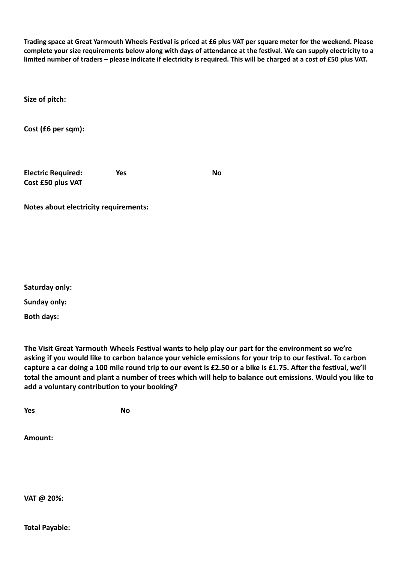**Trading space at Great Yarmouth Wheels Festival is priced at £6 plus VAT per square meter for the weekend. Please complete your size requirements below along with days of attendance at the festival. We can supply electricity to a limited number of traders – please indicate if electricity is required. This will be charged at a cost of £50 plus VAT.**

**Size of pitch:**

**Cost (£6 per sqm):**

**Electric Required: Cost £50 plus VAT** **Yes** No

**Notes about electricity requirements:**

**Saturday only:**

**Sunday only:**

**Both days:**

**The Visit Great Yarmouth Wheels Festival wants to help play our part for the environment so we're asking if you would like to carbon balance your vehicle emissions for your trip to our festival. To carbon capture a car doing a 100 mile round trip to our event is £2.50 or a bike is £1.75. After the festival, we'll total the amount and plant a number of trees which will help to balance out emissions. Would you like to add a voluntary contribution to your booking?**

**Yes** No

**Amount:**

**VAT @ 20%:**

**Total Payable:**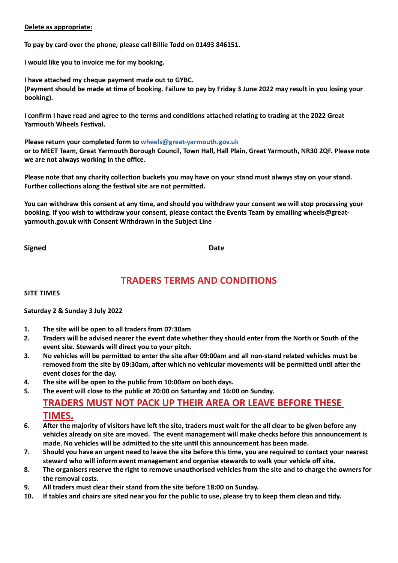### **Delete as appropriate:**

**To pay by card over the phone, please call Billie Todd on 01493 846151.**

**I would like you to invoice me for my booking.** 

**I have attached my cheque payment made out to GYBC. (Payment should be made at time of booking. Failure to pay by Friday 3 June 2022 may result in you losing your booking).**

**I confirm I have read and agree to the terms and conditions attached relating to trading at the 2022 Great Yarmouth Wheels Festival.**

**Please return your completed form to [wheels@great-yarmouth.gov.uk](mailto:wheels%40great-yarmouth.gov.uk%20?subject=)  or to MEET Team, Great Yarmouth Borough Council, Town Hall, Hall Plain, Great Yarmouth, NR30 2QF. Please note we are not always working in the office.**

**Please note that any charity collection buckets you may have on your stand must always stay on your stand. Further collections along the festival site are not permitted.** 

**You can withdraw this consent at any time, and should you withdraw your consent we will stop processing your booking. If you wish to withdraw your consent, please contact the Events Team by emailing wheels@greatyarmouth.gov.uk with Consent Withdrawn in the Subject Line**

**Signed** Date **Date** 

# **TRADERS TERMS AND CONDITIONS**

**SITE TIMES**

**Saturday 2 & Sunday 3 July 2022**

- **1. The site will be open to all traders from 07:30am**
- **2. Traders will be advised nearer the event date whether they should enter from the North or South of the event site. Stewards will direct you to your pitch.**
- **3. No vehicles will be permitted to enter the site after 09:00am and all non-stand related vehicles must be removed from the site by 09:30am, after which no vehicular movements will be permitted until after the event closes for the day.**
- **4. The site will be open to the public from 10:00am on both days.**
- **5. The event will close to the public at 20:00 on Saturday and 16:00 on Sunday.**

# **TRADERS MUST NOT PACK UP THEIR AREA OR LEAVE BEFORE THESE TIMES.**

- **6. After the majority of visitors have left the site, traders must wait for the all clear to be given before any vehicles already on site are moved. The event management will make checks before this announcement is made. No vehicles will be admitted to the site until this announcement has been made.**
- **7. Should you have an urgent need to leave the site before this time, you are required to contact your nearest steward who will inform event management and organise stewards to walk your vehicle off site.**
- **8. The organisers reserve the right to remove unauthorised vehicles from the site and to charge the owners for the removal costs.**
- **9. All traders must clear their stand from the site before 18:00 on Sunday.**
- **10. If tables and chairs are sited near you for the public to use, please try to keep them clean and tidy.**